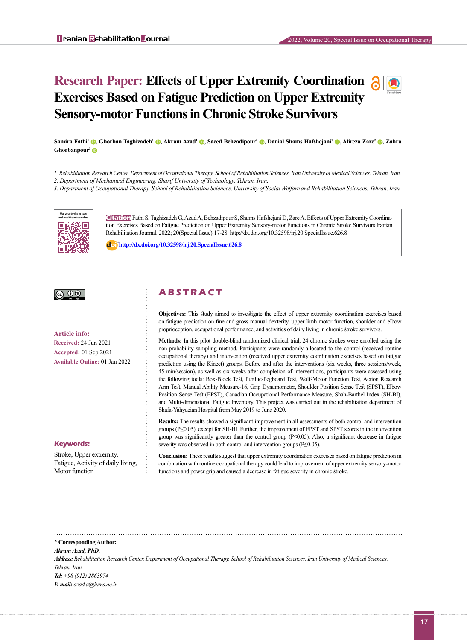# **Research Paper: Effects of Upper Extremity Coordination 3 0 Exercises Based on Fatigue Prediction on Upper Extremity Sensory-motor Functions in Chronic Stroke Survivors**



*1. Rehabilitation Research Center, Department of Occupational Therapy, School of Rehabilitation Sciences, Iran University of Medical Sciences, Tehran, Iran.*

*2. Department of Mechanical Engineering, Sharif University of Technology, Tehran, Iran.* 

*3. Department of Occupational Therapy, School of Rehabilitation Sciences, University of Social Welfare and Rehabilitation Sciences, Tehran, Iran.*



**Citation** Fathi S, Taghizadeh G, Azad A, Behzadipour S, Shams Hafshejani D, Zare A. Effects of Upper Extremity Coordination Exercises Based on Fatigue Prediction on Upper Extremity Sensory-motor Functions in Chronic Stroke Survivors Iranian Rehabilitation Journal. 2022; 20(Special Issue):17-28. http://dx.doi.org/10.32598/irj.20.SpecialIssue.626.8

: **http://dx.doi.org/10.32598/irj.20.SpecialIssue.626.8**

# <u>බ 0⊗</u>

**Article info: Received:** 24 Jun 2021 **Accepted:** 01 Sep 2021 **Available Online:** 01 Jan 2022

#### **Keywords:**

Stroke, Upper extremity, Fatigue, Activity of daily living, Motor function

# **A B S T R A C T**

**Objectives:** This study aimed to investigate the effect of upper extremity coordination exercises based on fatigue prediction on fine and gross manual dexterity, upper limb motor function, shoulder and elbow proprioception, occupational performance, and activities of daily living in chronic stroke survivors.

**Methods:** In this pilot double-blind randomized clinical trial, 24 chronic strokes were enrolled using the non-probability sampling method. Participants were randomly allocated to the control (received routine occupational therapy) and intervention (received upper extremity coordination exercises based on fatigue prediction using the Kinect) groups. Before and after the interventions (six weeks, three sessions/week, 45 min/session), as well as six weeks after completion of interventions, participants were assessed using the following tools: Box-Block Test, Purdue-Pegboard Test, Wolf-Motor Function Test, Action Research Arm Test, Manual Ability Measure-16, Grip Dynamometer, Shoulder Position Sense Test (SPST), Elbow Position Sense Test (EPST), Canadian Occupational Performance Measure, Shah-Barthel Index (SH-BI), and Multi-dimensional Fatigue Inventory. This project was carried out in the rehabilitation department of Shafa-Yahyaeian Hospital from May 2019 to June 2020.

**Results:** The results showed a significant improvement in all assessments of both control and intervention groups (P≤0.05), except for SH-BI. Further, the improvement of EPST and SPST scores in the intervention group was significantly greater than the control group (P≤0.05). Also, a significant decrease in fatigue severity was observed in both control and intervention groups (P≤0.05).

**Conclusion:** These results suggest that upper extremity coordination exercises based on fatigue prediction in combination with routine occupational therapy could lead to improvement of upper extremity sensory-motor functions and power grip and caused a decrease in fatigue severity in chronic stroke.

**\* Corresponding Author:**

#### *Akram Azad, PhD.*

*Address:Rehabilitation Research Center, Department of Occupational Therapy, School of Rehabilitation Sciences, Iran University of Medical Sciences, Tehran, Iran.*

*Tel: +98 (912) 2863974 E-mail: azad.a@iums.ac.ir*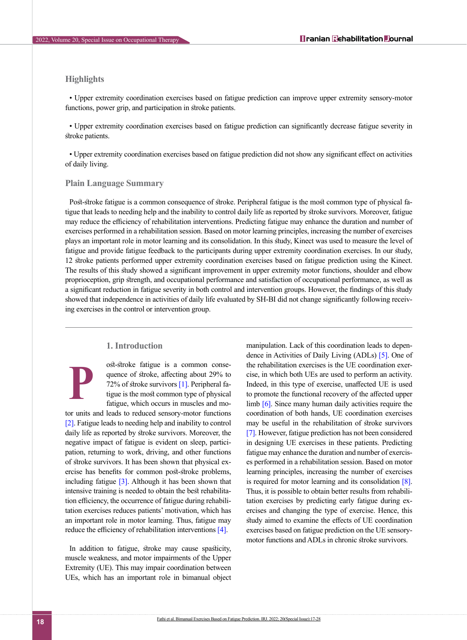# **Highlights**

• Upper extremity coordination exercises based on fatigue prediction can improve upper extremity sensory-motor functions, power grip, and participation in stroke patients.

• Upper extremity coordination exercises based on fatigue prediction can significantly decrease fatigue severity in stroke patients.

• Upper extremity coordination exercises based on fatigue prediction did not show any significant effect on activities of daily living.

### **Plain Language Summary**

Post-stroke fatigue is a common consequence of stroke. Peripheral fatigue is the most common type of physical fatigue that leads to needing help and the inability to control daily life as reported by stroke survivors. Moreover, fatigue may reduce the efficiency of rehabilitation interventions. Predicting fatigue may enhance the duration and number of exercises performed in a rehabilitation session. Based on motor learning principles, increasing the number of exercises plays an important role in motor learning and its consolidation. In this study, Kinect was used to measure the level of fatigue and provide fatigue feedback to the participants during upper extremity coordination exercises. In our study, 12 stroke patients performed upper extremity coordination exercises based on fatigue prediction using the Kinect. The results of this study showed a significant improvement in upper extremity motor functions, shoulder and elbow proprioception, grip strength, and occupational performance and satisfaction of occupational performance, as well as a significant reduction in fatigue severity in both control and intervention groups. However, the findings of this study showed that independence in activities of daily life evaluated by SH-BI did not change significantly following receiving exercises in the control or intervention group.

# **1. Introduction**

ost-stroke fatigue is a common consequence of stroke, affecting about 29% to 72% of stroke survivors [\[1\].](#page-10-0) Peripheral fatigue is the most common type of physical fatigue, which occurs in muscles and mo-

tor units and leads to reduced sensory-motor functions [\[2\]](#page-10-1). Fatigue leads to needing help and inability to control daily life as reported by stroke survivors. Moreover, the negative impact of fatigue is evident on sleep, participation, returning to work, driving, and other functions of stroke survivors. It has been shown that physical exercise has benefits for common post-stroke problems, including fatigue  $\lceil 3 \rceil$ . Although it has been shown that intensive training is needed to obtain the best rehabilitation efficiency, the occurrence of fatigue during rehabilitation exercises reduces patients' motivation, which has an important role in motor learning. Thus, fatigue may reduce the efficiency of rehabilitation interventions [\[4\]](#page-10-3). **P**

In addition to fatigue, stroke may cause spasticity, muscle weakness, and motor impairments of the Upper Extremity (UE). This may impair coordination between UEs, which has an important role in bimanual object manipulation. Lack of this coordination leads to dependence in Activities of Daily Living (ADLs) [\[5\].](#page-10-4) One of the rehabilitation exercises is the UE coordination exercise, in which both UEs are used to perform an activity. Indeed, in this type of exercise, unaffected UE is used to promote the functional recovery of the affected upper limb [\[6\].](#page-10-5) Since many human daily activities require the coordination of both hands, UE coordination exercises may be useful in the rehabilitation of stroke survivors [\[7\].](#page-10-6) However, fatigue prediction has not been considered in designing UE exercises in these patients. Predicting fatigue may enhance the duration and number of exercises performed in a rehabilitation session. Based on motor learning principles, increasing the number of exercises is required for motor learning and its consolidation [\[8\]](#page-10-7). Thus, it is possible to obtain better results from rehabilitation exercises by predicting early fatigue during exercises and changing the type of exercise. Hence, this study aimed to examine the effects of UE coordination exercises based on fatigue prediction on the UE sensorymotor functions and ADLs in chronic stroke survivors.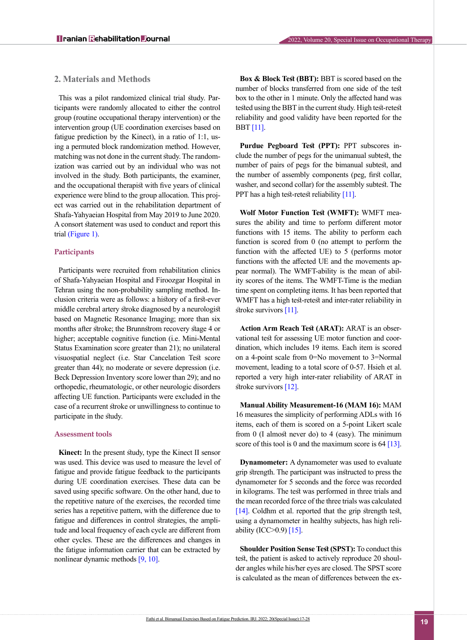# **2. Materials and Methods**

This was a pilot randomized clinical trial study. Participants were randomly allocated to either the control group (routine occupational therapy intervention) or the intervention group (UE coordination exercises based on fatigue prediction by the Kinect), in a ratio of 1:1, using a permuted block randomization method. However, matching was not done in the current study. The randomization was carried out by an individual who was not involved in the study. Both participants, the examiner, and the occupational therapist with five years of clinical experience were blind to the group allocation. This project was carried out in the rehabilitation department of Shafa-Yahyaeian Hospital from May 2019 to June 2020. A consort statement was used to conduct and report this trial (Figure 1).

# **Participants**

Participants were recruited from rehabilitation clinics of Shafa-Yahyaeian Hospital and Firoozgar Hospital in Tehran using the non-probability sampling method. Inclusion criteria were as follows: a history of a first-ever middle cerebral artery stroke diagnosed by a neurologist based on Magnetic Resonance Imaging; more than six months after stroke; the Brunnstrom recovery stage 4 or higher; acceptable cognitive function (i.e. Mini-Mental Status Examination score greater than 21); no unilateral visuospatial neglect (i.e. Star Cancelation Test score greater than 44); no moderate or severe depression (i.e. Beck Depression Inventory score lower than 29); and no orthopedic, rheumatologic, or other neurologic disorders affecting UE function. Participants were excluded in the case of a recurrent stroke or unwillingness to continue to participate in the study.

### **Assessment tools**

**Kinect:** In the present study, type the Kinect II sensor was used. This device was used to measure the level of fatigue and provide fatigue feedback to the participants during UE coordination exercises. These data can be saved using specific software. On the other hand, due to the repetitive nature of the exercises, the recorded time series has a repetitive pattern, with the difference due to fatigue and differences in control strategies, the amplitude and local frequency of each cycle are different from other cycles. These are the differences and changes in the fatigue information carrier that can be extracted by nonlinear dynamic methods [\[9,](#page-10-8) [10\]](#page-10-9).

**Box & Block Test (BBT):** BBT is scored based on the number of blocks transferred from one side of the test box to the other in 1 minute. Only the affected hand was tested using the BBT in the current study. High test-retest reliability and good validity have been reported for the BBT [\[11\]](#page-10-10).

**Purdue Pegboard Test (PPT):** PPT subscores include the number of pegs for the unimanual subtest, the number of pairs of pegs for the bimanual subtest, and the number of assembly components (peg, first collar, washer, and second collar) for the assembly subtest. The PPT has a high test-retest reliability [\[11\].](#page-10-10)

**Wolf Motor Function Test (WMFT):** WMFT measures the ability and time to perform different motor functions with 15 items. The ability to perform each function is scored from 0 (no attempt to perform the function with the affected UE) to 5 (performs motor functions with the affected UE and the movements appear normal). The WMFT-ability is the mean of ability scores of the items. The WMFT-Time is the median time spent on completing items. It has been reported that WMFT has a high test-retest and inter-rater reliability in stroke survivors [\[11\]](#page-10-10).

**Action Arm Reach Test (ARAT):** ARAT is an observational test for assessing UE motor function and coordination, which includes 19 items. Each item is scored on a 4-point scale from 0=No movement to 3=Normal movement, leading to a total score of 0-57. Hsieh et al. reported a very high inter-rater reliability of ARAT in stroke survivors [\[12\].](#page-10-11)

**Manual Ability Measurement-16 (MAM 16):** MAM 16 measures the simplicity of performing ADLs with 16 items, each of them is scored on a 5-point Likert scale from 0 (I almost never do) to 4 (easy). The minimum score of this tool is 0 and the maximum score is 64 [\[13\].](#page-10-12)

**Dynamometer:** A dynamometer was used to evaluate grip strength. The participant was instructed to press the dynamometer for 5 seconds and the force was recorded in kilograms. The test was performed in three trials and the mean recorded force of the three trials was calculated [\[14\].](#page-11-0) Coldhm et al. reported that the grip strength test, using a dynamometer in healthy subjects, has high reliability (ICC $>0.9$ ) [\[15\]](#page-11-1).

**Shoulder Position Sense Test (SPST):** To conduct this test, the patient is asked to actively reproduce 20 shoulder angles while his/her eyes are closed. The SPST score is calculated as the mean of differences between the ex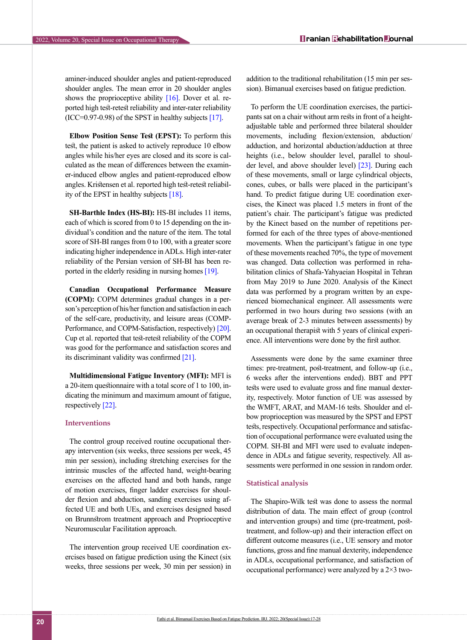aminer-induced shoulder angles and patient-reproduced shoulder angles. The mean error in 20 shoulder angles shows the proprioceptive ability  $[16]$ . Dover et al. reported high test-retest reliability and inter-rater reliability  $(ICC=0.97-0.98)$  of the SPST in healthy subjects  $[17]$ .

**Elbow Position Sense Test (EPST):** To perform this test, the patient is asked to actively reproduce 10 elbow angles while his/her eyes are closed and its score is calculated as the mean of differences between the examiner-induced elbow angles and patient-reproduced elbow angles. Kristensen et al. reported high test-retest reliability of the EPST in healthy subjects [18].

**SH-Barthle Index (HS-BI):** HS-BI includes 11 items, each of which is scored from 0 to 15 depending on the individual's condition and the nature of the item. The total score of SH-BI ranges from 0 to 100, with a greater score indicating higher independence in ADLs. High inter-rater reliability of the Persian version of SH-BI has been reported in the elderly residing in nursing homes [\[19\]](#page-11-4).

**Canadian Occupational Performance Measure (COPM):** COPM determines gradual changes in a person's perception of his/her function and satisfaction in each of the self-care, productivity, and leisure areas (COMP-Performance, and COPM-Satisfaction, respectively) [\[20\]](#page-11-5). Cup et al. reported that test-retest reliability of the COPM was good for the performance and satisfaction scores and its discriminant validity was confirmed [\[21\].](#page-11-6)

**Multidimensional Fatigue Inventory (MFI):** MFI is a 20-item questionnaire with a total score of 1 to 100, indicating the minimum and maximum amount of fatigue, respectively [\[22\].](#page-11-7)

# **Interventions**

The control group received routine occupational therapy intervention (six weeks, three sessions per week, 45 min per session), including stretching exercises for the intrinsic muscles of the affected hand, weight-bearing exercises on the affected hand and both hands, range of motion exercises, finger ladder exercises for shoulder flexion and abduction, sanding exercises using affected UE and both UEs, and exercises designed based on Brunnstrom treatment approach and Proprioceptive Neuromuscular Facilitation approach.

The intervention group received UE coordination exercises based on fatigue prediction using the Kinect (six weeks, three sessions per week, 30 min per session) in addition to the traditional rehabilitation (15 min per session). Bimanual exercises based on fatigue prediction.

To perform the UE coordination exercises, the participants sat on a chair without arm rests in front of a heightadjustable table and performed three bilateral shoulder movements, including flexion/extension, abduction/ adduction, and horizontal abduction/adduction at three heights (i.e., below shoulder level, parallel to shoulder level, and above shoulder level) [\[23\]](#page-11-8). During each of these movements, small or large cylindrical objects, cones, cubes, or balls were placed in the participant's hand. To predict fatigue during UE coordination exercises, the Kinect was placed 1.5 meters in front of the patient's chair. The participant's fatigue was predicted by the Kinect based on the number of repetitions performed for each of the three types of above-mentioned movements. When the participant's fatigue in one type of these movements reached 70%, the type of movement was changed. Data collection was performed in rehabilitation clinics of Shafa-Yahyaeian Hospital in Tehran from May 2019 to June 2020. Analysis of the Kinect data was performed by a program written by an experienced biomechanical engineer. All assessments were performed in two hours during two sessions (with an average break of 2-3 minutes between assessments) by an occupational therapist with 5 years of clinical experience. All interventions were done by the first author.

Assessments were done by the same examiner three times: pre-treatment, post-treatment, and follow-up (i.e., 6 weeks after the interventions ended). BBT and PPT tests were used to evaluate gross and fine manual dexterity, respectively. Motor function of UE was assessed by the WMFT, ARAT, and MAM-16 tests. Shoulder and elbow proprioception was measured by the SPST and EPST tests, respectively. Occupational performance and satisfaction of occupational performance were evaluated using the COPM. SH-BI and MFI were used to evaluate independence in ADLs and fatigue severity, respectively. All assessments were performed in one session in random order.

#### **Statistical analysis**

The Shapiro-Wilk test was done to assess the normal distribution of data. The main effect of group (control and intervention groups) and time (pre-treatment, posttreatment, and follow-up) and their interaction effect on different outcome measures (i.e., UE sensory and motor functions, gross and fine manual dexterity, independence in ADLs, occupational performance, and satisfaction of occupational performance) were analyzed by a 2×3 two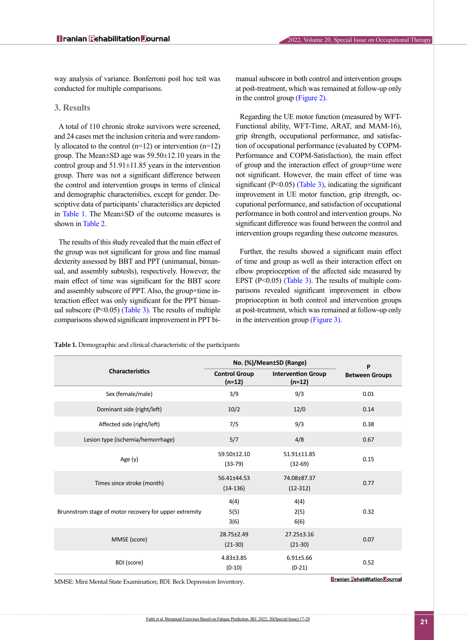way analysis of variance. Bonferroni post hoc test was conducted for multiple comparisons.

# **3. Results**

A total of 110 chronic stroke survivors were screened, and 24 cases met the inclusion criteria and were randomly allocated to the control  $(n=12)$  or intervention  $(n=12)$ group. The Mean±SD age was 59.50±12.10 years in the control group and  $51.91\pm11.85$  years in the intervention group. There was not a significant difference between the control and intervention groups in terms of clinical and demographic characteristics, except for gender. Descriptive data of participants' characteristics are depicted in [Table 1](#page-4-0). The Mean±SD of the outcome measures is shown in Table 2.

The results of this study revealed that the main effect of the group was not significant for gross and fine manual dexterity assessed by BBT and PPT (unimanual, bimanual, and assembly subtests), respectively. However, the main effect of time was significant for the BBT score and assembly subscore of PPT. Also, the group×time interaction effect was only significant for the PPT bimanual subscore  $(P<0.05)$  [\(Table 3\)](#page-7-0). The results of multiple comparisons showed significant improvement in PPT bimanual subscore in both control and intervention groups at post-treatment, which was remained at follow-up only in the control group (Figure 2).

Regarding the UE motor function (measured by WFT-Functional ability, WFT-Time, ARAT, and MAM-16), grip strength, occupational performance, and satisfaction of occupational performance (evaluated by COPM-Performance and COPM-Satisfaction), the main effect of group and the interaction effect of group×time were not significant. However, the main effect of time was significant ( $P \le 0.05$ ) [\(Table 3\)](#page-7-0), indicating the significant improvement in UE motor function, grip strength, occupational performance, and satisfaction of occupational performance in both control and intervention groups. No significant difference was found between the control and intervention groups regarding these outcome measures.

Further, the results showed a significant main effect of time and group as well as their interaction effect on elbow proprioception of the affected side measured by EPST  $(P<0.05)$  [\(Table 3\)](#page-7-0). The results of multiple comparisons revealed significant improvement in elbow proprioception in both control and intervention groups at post-treatment, which was remained at follow-up only in the intervention group [\(Figure 3\)](#page-8-0).

**P Between Groups No. (%)/Mean±SD (Range) Characteristics Intervention Group (n=12) Control Group (n=12)** Sex (female/male) 3/9 9/3 0.01 Dominant side (right/left) 10/2 12/0 0.14 Affected side (right/left)  $7/5$  7/5 9/3 0.38 Lesion type (ischemia/hemorrhage) 5/7 5/7 4/8 0.67 0.15 51.91±11.85 (32-69) 59.50±12.10 Age (y) 33-79 0.77 74.08±87.37 (12-312) 56.41±44.53 Times since stroke (month) exercise to the stroke (month) and the stroke (14-136) 0.32 4(4) 2(5) 6(6) 4(4) 5(5) 3(6) Brunnstrom stage of motor recovery for upper extremity 0.07 27.25±3.16 (21-30) 28.75±2.49 MMSE (score) 2007-2012 2012-2013<br>(21-30) 0.52 6.91±5.66 (0-21) 4.83±3.85 BDI (score) and the contract of the contract of the contract of the contract of the contract of the contract of the contract of the contract of the contract of the contract of the contract of the contract of the contract o

<span id="page-4-0"></span>**Table 1.** Demographic and clinical characteristic of the participants

MMSE: Mini Mental State Examination; BDI: Beck Depression Inventory.

**Tranian Rehabilitation Tournal**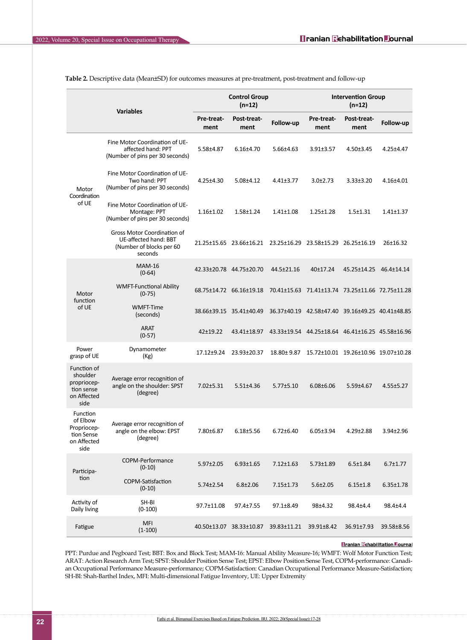| <b>Variables</b>                                                            |                                                                                             |                           | <b>Control Group</b><br>$(n=12)$    |                                                                 | <b>Intervention Group</b><br>$(n=12)$                    |                                       |                 |  |
|-----------------------------------------------------------------------------|---------------------------------------------------------------------------------------------|---------------------------|-------------------------------------|-----------------------------------------------------------------|----------------------------------------------------------|---------------------------------------|-----------------|--|
|                                                                             |                                                                                             | <b>Pre-treat-</b><br>ment | Post-treat-<br>ment                 | Follow-up                                                       | <b>Pre-treat-</b><br>ment                                | <b>Post-treat-</b><br>ment            | Follow-up       |  |
| Motor<br>Coordination<br>of UE                                              | Fine Motor Coordination of UE-<br>affected hand: PPT<br>(Number of pins per 30 seconds)     | 5.58±4.87                 | $6.16{\pm}4.70$                     | $5.66 \pm 4.63$                                                 | $3.91 \pm 3.57$                                          | $4.50 \pm 3.45$                       | 4.25±4.47       |  |
|                                                                             | Fine Motor Coordination of UE-<br>Two hand: PPT<br>(Number of pins per 30 seconds)          | $4.25 \pm 4.30$           | $5.08 \pm 4.12$                     | $4.41\pm3.77$                                                   | $3.0 \pm 2.73$                                           | $3.33 \pm 3.20$                       | 4.16±4.01       |  |
|                                                                             | Fine Motor Coordination of UE-<br>Montage: PPT<br>(Number of pins per 30 seconds)           | $1.16 \pm 1.02$           | $1.58 \pm 1.24$                     | $1.41 \pm 1.08$                                                 | $1.25 \pm 1.28$                                          | $1.5 \pm 1.31$                        | $1.41 \pm 1.37$ |  |
|                                                                             | Gross Motor Coordination of<br>UE-affected hand: BBT<br>(Number of blocks per 60<br>seconds |                           |                                     | 21.25±15.65  23.66±16.21  23.25±16.29  23.58±15.29  26.25±16.19 |                                                          |                                       | 26±16.32        |  |
| Motor<br>function<br>of UE                                                  | <b>MAM-16</b><br>$(0-64)$                                                                   |                           | 42.33±20.78 44.75±20.70             | 44.5±21.16                                                      | 40±17.24                                                 | 45.25±14.25 46.4±14.14                |                 |  |
|                                                                             | <b>WMFT-Functional Ability</b><br>$(0-75)$                                                  |                           | 68.75±14.72 66.16±19.18             |                                                                 | 70.41±15.63    71.41±13.74    73.25±11.66    72.75±11.28 |                                       |                 |  |
|                                                                             | <b>WMFT-Time</b><br>(seconds)                                                               |                           | 38.66±39.15 35.41±40.49             |                                                                 | 36.37±40.19 42.58±47.40 39.16±49.25 40.41±48.85          |                                       |                 |  |
|                                                                             | <b>ARAT</b><br>$(0-57)$                                                                     | 42±19.22                  | 43.41±18.97                         |                                                                 | 43.33±19.54 44.25±18.64 46.41±16.25 45.58±16.96          |                                       |                 |  |
| Power<br>grasp of UE                                                        | Dynamometer<br>(Kg)                                                                         | $17.12 \pm 9.24$          | 23.93±20.37                         | 18.80±9.87                                                      |                                                          | 15.72±10.01  19.26±10.96  19.07±10.28 |                 |  |
| Function of<br>shoulder<br>propriocep-<br>tion sense<br>on Affected<br>side | Average error recognition of<br>angle on the shoulder: SPST<br>(degree)                     | $7.02 \pm 5.31$           | $5.51 \pm 4.36$                     | $5.77 \pm 5.10$                                                 | $6.08 \pm 6.06$                                          | 5.59±4.67                             | 4.55±5.27       |  |
| Function<br>of Elbow<br>Propriocep-<br>tion Sense<br>on Affected<br>side    | Average error recognition of<br>angle on the elbow: EPST<br>(degree)                        | 7.80±6.87                 | $6.18 \pm 5.56$                     | $6.72 \pm 6.40$                                                 | $6.05 \pm 3.94$                                          | $4.29 \pm 2.88$                       | 3.94±2.96       |  |
| Participa-<br>tion                                                          | COPM-Performance<br>$(0-10)$                                                                | $5.97 \pm 2.05$           | $6.93 \pm 1.65$                     | $7.12 \pm 1.63$                                                 | $5.73 \pm 1.89$                                          | $6.5 \pm 1.84$                        | $6.7 \pm 1.77$  |  |
|                                                                             | COPM-Satisfaction<br>$(0-10)$                                                               | 5.74±2.54                 | $6.8 \pm 2.06$                      | 7.15±1.73                                                       | $5.6 \pm 2.05$                                           | $6.15 \pm 1.8$                        | $6.35 \pm 1.78$ |  |
| Activity of<br>Daily living                                                 | SH-BI<br>$(0-100)$                                                                          | 97.7±11.08                | 97.4±7.55                           | 97.1±8.49                                                       | 98±4.32                                                  | 98.4±4.4                              | 98.4±4.4        |  |
| Fatigue                                                                     | <b>MFI</b><br>$(1-100)$                                                                     |                           | 40.50±13.07 38.33±10.87 39.83±11.21 |                                                                 | 39.91±8.42                                               | 36.91±7.93                            | 39.58±8.56      |  |

**Table 2.** Descriptive data (Mean±SD) for outcomes measures at pre-treatment, post-treatment and follow-up

#### **Tranian Rehabilitation Dournal**

PPT: Purdue and Pegboard Test; BBT: Box and Block Test; MAM-16: Manual Ability Measure-16; WMFT: Wolf Motor Function Test; ARAT: Action Research Arm Test; SPST: Shoulder Position Sense Test; EPST: Elbow Position Sense Test, COPM-performance: Canadian Occupational Performance Measure-performance; COPM-Satisfaction: Canadian Occupational Performance Measure-Satisfaction; SH-BI: Shah-Barthel Index, MFI: Multi-dimensional Fatigue Inventory, UE: Upper Extremity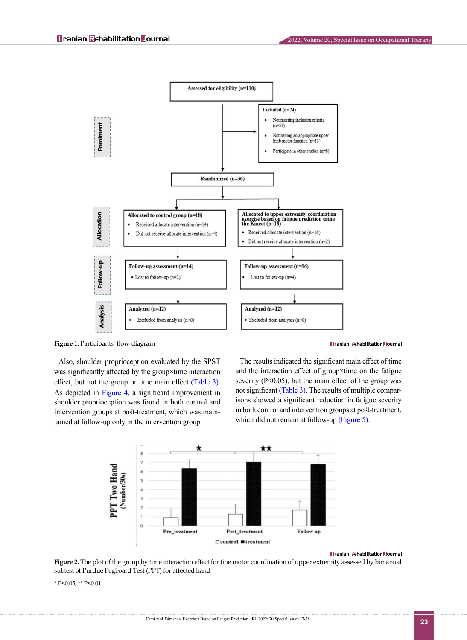



Also, shoulder proprioception evaluated by the SPST was significantly affected by the group×time interaction effect, but not the group or time main effect [\(Table 3\)](#page-7-0). As depicted in [Figure 4,](#page-8-1) a significant improvement in shoulder proprioception was found in both control and intervention groups at post-treatment, which was maintained at follow-up only in the intervention group.



The results indicated the significant main effect of time and the interaction effect of group×time on the fatigue severity  $(P<0.05)$ , but the main effect of the group was not significant [\(Table 3\)](#page-7-0). The results of multiple comparisons showed a significant reduction in fatigue severity in both control and intervention groups at post-treatment, which did not remain at follow-up [\(Figure 5\).](#page-9-0)



**Tranian Rehabilitation Journal** 

**Figure 2.** The plot of the group by time interaction effect for fine motor coordination of upper extremity assessed by bimanual subtest of Purdue Pegboard Test (PPT) for affected hand

\* P≤0.05; \*\* P≤0.01.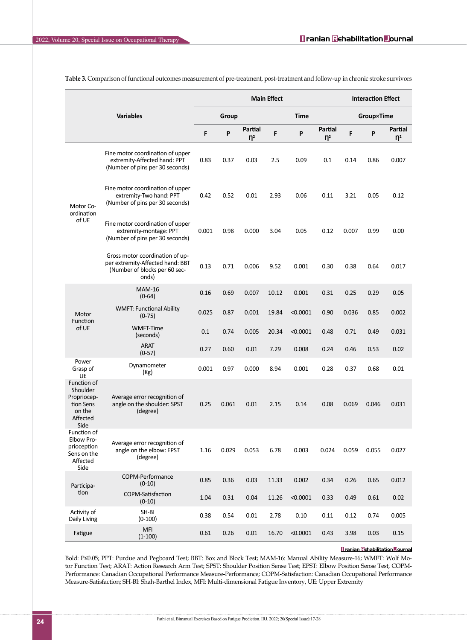|                                                                                   |                                                                                                               |       | <b>Main Effect</b> |                     |             |          |                     |                   | <b>Interaction Effect</b> |                     |  |
|-----------------------------------------------------------------------------------|---------------------------------------------------------------------------------------------------------------|-------|--------------------|---------------------|-------------|----------|---------------------|-------------------|---------------------------|---------------------|--|
| <b>Variables</b>                                                                  |                                                                                                               | Group |                    |                     | <b>Time</b> |          |                     | <b>Group×Time</b> |                           |                     |  |
|                                                                                   |                                                                                                               | F     | P                  | Partial<br>$\eta^2$ | F           | P        | Partial<br>$\eta^2$ | F                 | P                         | Partial<br>$\eta^2$ |  |
| Motor Co-<br>ordination<br>of UE                                                  | Fine motor coordination of upper<br>extremity-Affected hand: PPT<br>(Number of pins per 30 seconds)           | 0.83  | 0.37               | 0.03                | 2.5         | 0.09     | 0.1                 | 0.14              | 0.86                      | 0.007               |  |
|                                                                                   | Fine motor coordination of upper<br>extremity-Two hand: PPT<br>(Number of pins per 30 seconds)                | 0.42  | 0.52               | 0.01                | 2.93        | 0.06     | 0.11                | 3.21              | 0.05                      | 0.12                |  |
|                                                                                   | Fine motor coordination of upper<br>extremity-montage: PPT<br>(Number of pins per 30 seconds)                 | 0.001 | 0.98               | 0.000               | 3.04        | 0.05     | 0.12                | 0.007             | 0.99                      | 0.00                |  |
|                                                                                   | Gross motor coordination of up-<br>per extremity-Affected hand: BBT<br>(Number of blocks per 60 sec-<br>onds) | 0.13  | 0.71               | 0.006               | 9.52        | 0.001    | 0.30                | 0.38              | 0.64                      | 0.017               |  |
| Motor<br>Function<br>of UE                                                        | <b>MAM-16</b><br>$(0-64)$                                                                                     | 0.16  | 0.69               | 0.007               | 10.12       | 0.001    | 0.31                | 0.25              | 0.29                      | 0.05                |  |
|                                                                                   | <b>WMFT: Functional Ability</b><br>$(0-75)$                                                                   | 0.025 | 0.87               | 0.001               | 19.84       | < 0.0001 | 0.90                | 0.036             | 0.85                      | 0.002               |  |
|                                                                                   | <b>WMFT-Time</b><br>(seconds)                                                                                 | 0.1   | 0.74               | 0.005               | 20.34       | < 0.0001 | 0.48                | 0.71              | 0.49                      | 0.031               |  |
|                                                                                   | <b>ARAT</b><br>$(0-57)$                                                                                       | 0.27  | 0.60               | 0.01                | 7.29        | 0.008    | 0.24                | 0.46              | 0.53                      | 0.02                |  |
| Power<br>Grasp of<br>UE                                                           | Dynamometer<br>(Kg)                                                                                           | 0.001 | 0.97               | 0.000               | 8.94        | 0.001    | 0.28                | 0.37              | 0.68                      | 0.01                |  |
| Function of<br>Shoulder<br>Propriocep-<br>tion Sens<br>on the<br>Affected<br>Side | Average error recognition of<br>angle on the shoulder: SPST<br>(degree)                                       | 0.25  | 0.061              | 0.01                | 2.15        | 0.14     | 0.08                | 0.069             | 0.046                     | 0.031               |  |
| Function of<br>Elbow Pro-<br>prioception<br>Sens on the<br>Affected<br>Side       | Average error recognition of<br>angle on the elbow: EPST<br>(degree)                                          | 1.16  | 0.029              | 0.053               | 6.78        | 0.003    | 0.024               | 0.059             | 0.055                     | 0.027               |  |
| Participa-<br>tion                                                                | COPM-Performance<br>$(0-10)$                                                                                  | 0.85  | 0.36               | 0.03                | 11.33       | 0.002    | 0.34                | 0.26              | 0.65                      | 0.012               |  |
|                                                                                   | COPM-Satisfaction<br>$(0-10)$                                                                                 | 1.04  | 0.31               | 0.04                | 11.26       | < 0.0001 | 0.33                | 0.49              | 0.61                      | 0.02                |  |
| Activity of<br>Daily Living                                                       | SH-BI<br>$(0-100)$                                                                                            | 0.38  | 0.54               | 0.01                | 2.78        | 0.10     | 0.11                | 0.12              | 0.74                      | 0.005               |  |
| Fatigue                                                                           | <b>MFI</b><br>$(1-100)$                                                                                       | 0.61  | 0.26               | 0.01                | 16.70       | < 0.0001 | 0.43                | 3.98              | 0.03                      | 0.15                |  |

<span id="page-7-0"></span>**Table 3.** Comparison of functional outcomes measurement of pre-treatment, post-treatment and follow-up in chronic stroke survivors

# **Tranian Rehabilitation Tournal**

Bold: P≤0.05; PPT: Purdue and Pegboard Test; BBT: Box and Block Test; MAM-16: Manual Ability Measure-16; WMFT: Wolf Motor Function Test; ARAT: Action Research Arm Test; SPST: Shoulder Position Sense Test; EPST: Elbow Position Sense Test, COPM-Performance: Canadian Occupational Performance Measure-Performance; COPM-Satisfaction: Canadian Occupational Performance Measure-Satisfaction; SH-BI: Shah-Barthel Index, MFI: Multi-dimensional Fatigue Inventory, UE: Upper Extremity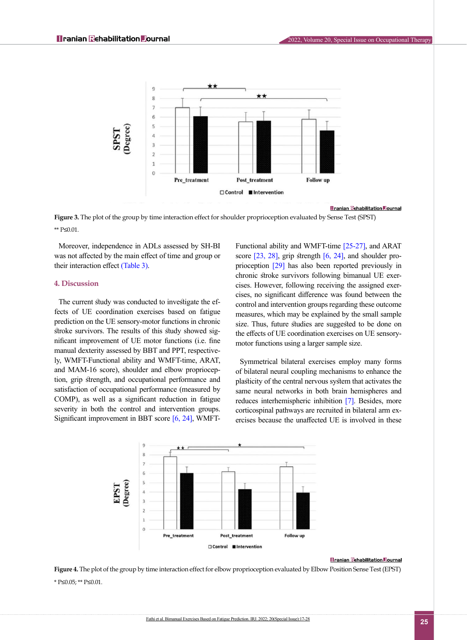

### **Tranian Rehabilitation Tournal**

<span id="page-8-0"></span>**Figure 3.** The plot of the group by time interaction effect for shoulder proprioception evaluated by Sense Test (SPST) \*\* P≤0.01.

Moreover, independence in ADLs assessed by SH-BI was not affected by the main effect of time and group or their interaction effect [\(Table 3\).](#page-7-0)

# **4. Discussion**

The current study was conducted to investigate the effects of UE coordination exercises based on fatigue prediction on the UE sensory-motor functions in chronic stroke survivors. The results of this study showed significant improvement of UE motor functions (i.e. fine manual dexterity assessed by BBT and PPT, respectively, WMFT-Functional ability and WMFT-time, ARAT, and MAM-16 score), shoulder and elbow proprioception, grip strength, and occupational performance and satisfaction of occupational performance (measured by COMP), as well as a significant reduction in fatigue severity in both the control and intervention groups. Significant improvement in BBT score [\[6,](#page-10-5) [24\]](#page-11-9), WMFT- Functional ability and WMFT-time [\[25-27\]](#page-11-10), and ARAT score [\[23,](#page-11-8) [28\],](#page-11-11) grip strength [\[6,](#page-10-5) [24\],](#page-11-9) and shoulder proprioception [\[29\]](#page-11-12) has also been reported previously in chronic stroke survivors following bimanual UE exercises. However, following receiving the assigned exercises, no significant difference was found between the control and intervention groups regarding these outcome measures, which may be explained by the small sample size. Thus, future studies are suggested to be done on the effects of UE coordination exercises on UE sensorymotor functions using a larger sample size.

Symmetrical bilateral exercises employ many forms of bilateral neural coupling mechanisms to enhance the plasticity of the central nervous system that activates the same neural networks in both brain hemispheres and reduces interhemispheric inhibition [\[7\]](#page-10-6). Besides, more corticospinal pathways are recruited in bilateral arm exercises because the unaffected UE is involved in these



#### **Tranian Rehabilitation Tournal**

<span id="page-8-1"></span>**Figure 4.** The plot of the group by time interaction effect for elbow proprioception evaluated by Elbow Position Sense Test (EPST) \* P≤0.05; \*\* P≤0.01.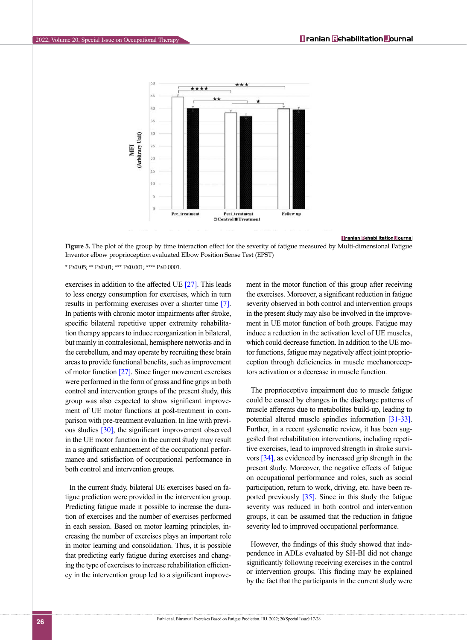

**Tranian Rehabilitation Tournal** 

<span id="page-9-0"></span>**Figure 5.** The plot of the group by time interaction effect for the severity of fatigue measured by Multi-dimensional Fatigue Inventor elbow proprioception evaluated Elbow Position Sense Test (EPST)

\* P≤0.05; \*\* P≤0.01; \*\*\* P≤0.001; \*\*\*\* P≤0.0001.

exercises in addition to the affected UE [\[27\]](#page-11-13). This leads to less energy consumption for exercises, which in turn results in performing exercises over a shorter time [\[7\]](#page-10-6). In patients with chronic motor impairments after stroke, specific bilateral repetitive upper extremity rehabilitation therapy appears to induce reorganization in bilateral, but mainly in contralesional, hemisphere networks and in the cerebellum, and may operate by recruiting these brain areas to provide functional benefits, such as improvement of motor function [\[27\].](#page-11-13) Since finger movement exercises were performed in the form of gross and fine grips in both control and intervention groups of the present study, this group was also expected to show significant improvement of UE motor functions at post-treatment in comparison with pre-treatment evaluation. In line with previ-ous studies [\[30\],](#page-11-14) the significant improvement observed in the UE motor function in the current study may result in a significant enhancement of the occupational performance and satisfaction of occupational performance in both control and intervention groups.

In the current study, bilateral UE exercises based on fatigue prediction were provided in the intervention group. Predicting fatigue made it possible to increase the duration of exercises and the number of exercises performed in each session. Based on motor learning principles, increasing the number of exercises plays an important role in motor learning and consolidation. Thus, it is possible that predicting early fatigue during exercises and changing the type of exercises to increase rehabilitation efficiency in the intervention group led to a significant improvement in the motor function of this group after receiving the exercises. Moreover, a significant reduction in fatigue severity observed in both control and intervention groups in the present study may also be involved in the improvement in UE motor function of both groups. Fatigue may induce a reduction in the activation level of UE muscles, which could decrease function. In addition to the UE motor functions, fatigue may negatively affect joint proprioception through deficiencies in muscle mechanoreceptors activation or a decrease in muscle function.

The proprioceptive impairment due to muscle fatigue could be caused by changes in the discharge patterns of muscle afferents due to metabolites build-up, leading to potential altered muscle spindles information [\[31-33\]](#page-11-15). Further, in a recent systematic review, it has been suggested that rehabilitation interventions, including repetitive exercises, lead to improved strength in stroke survivors [\[34\],](#page-11-16) as evidenced by increased grip strength in the present study. Moreover, the negative effects of fatigue on occupational performance and roles, such as social participation, return to work, driving, etc. have been reported previously [\[35\].](#page-11-17) Since in this study the fatigue severity was reduced in both control and intervention groups, it can be assumed that the reduction in fatigue severity led to improved occupational performance.

However, the findings of this study showed that independence in ADLs evaluated by SH-BI did not change significantly following receiving exercises in the control or intervention groups. This finding may be explained by the fact that the participants in the current study were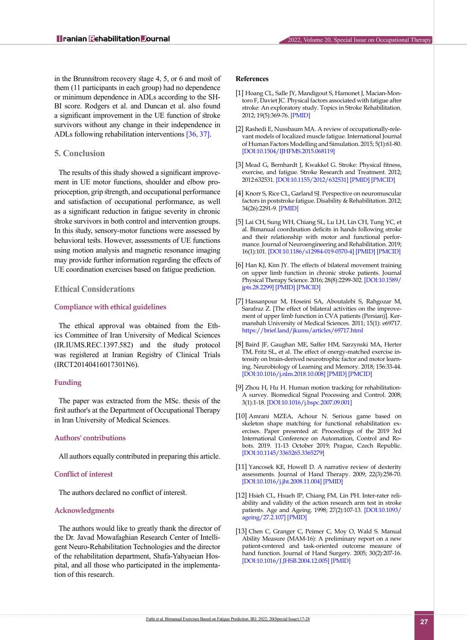in the Brunnstrom recovery stage 4, 5, or 6 and most of them (11 participants in each group) had no dependence or minimum dependence in ADLs according to the SH-BI score. Rodgers et al. and Duncan et al. also found a significant improvement in the UE function of stroke survivors without any change in their independence in ADLs following rehabilitation interventions [\[36,](#page-11-18) [37\].](#page-11-19)

# **5. Conclusion**

The results of this study showed a significant improvement in UE motor functions, shoulder and elbow proprioception, grip strength, and occupational performance and satisfaction of occupational performance, as well as a significant reduction in fatigue severity in chronic stroke survivors in both control and intervention groups. In this study, sensory-motor functions were assessed by behavioral tests. However, assessments of UE functions using motion analysis and magnetic resonance imaging may provide further information regarding the effects of UE coordination exercises based on fatigue prediction.

# **Ethical Considerations**

### **Compliance with ethical guidelines**

The ethical approval was obtained from the Ethics Committee of Iran University of Medical Sciences (IR.IUMS.REC.1397.582) and the study protocol was registered at Iranian Registry of Clinical Trials (IRCT20140416017301N6).

#### **Funding**

The paper was extracted from the MSc. thesis of the first author's at the Department of Occupational Therapy in Iran University of Medical Sciences.

#### **Authors' contributions**

All authors equally contributed in preparing this article.

## **Conflict of interest**

The authors declared no conflict of interest.

# **Acknowledgments**

The authors would like to greatly thank the director of the Dr. Javad Mowafaghian Research Center of Intelligent Neuro-Rehabilitation Technologies and the director of the rehabilitation department, Shafa-Yahyaeian Hospital, and all those who participated in the implementation of this research.

# **References**

- <span id="page-10-0"></span>[1] Hoang CL, Salle JY, Mandigout S, Hamonet J, Macian-Montoro F, Daviet JC. Physical factors associated with fatigue after stroke: An exploratory study. Topics in Stroke Rehabilitation. 2012; 19(5):369-76. [\[PMID\]](https://www.ncbi.nlm.nih.gov/pubmed/22982823)
- <span id="page-10-1"></span>[2] Rashedi E, Nussbaum MA. A review of occupationally-relevant models of localized muscle fatigue. International Journal of Human Factors Modelling and Simulation. 2015; 5(1):61-80. [[DOI:10.1504/IJHFMS.2015.068119\]](https://doi.org/10.1504/IJHFMS.2015.068119)
- <span id="page-10-2"></span>[3] Mead G, Bernhardt J, Kwakkel G. Stroke: Physical fitness, exercise, and fatigue. Stroke Research and Treatment. 2012; 2012:632531. [\[DOI:10.1155/2012/632531\]](https://doi.org/10.1155/2012/632531) [[PMID](https://www.ncbi.nlm.nih.gov/pubmed/22550615)] [\[PMCID](http://www.ncbi.nlm.nih.gov/pmc/articles/PMC3329662)]
- <span id="page-10-3"></span>[4] Knorr S, Rice CL, Garland SJ. Perspective on neuromuscular factors in poststroke fatigue. Disability & Rehabilitation. 2012; 34(26):2291-9. [[PMID](https://www.ncbi.nlm.nih.gov/pubmed/22662970)]
- <span id="page-10-4"></span>[5] Lai CH, Sung WH, Chiang SL, Lu LH, Lin CH, Tung YC, et al. Bimanual coordination deficits in hands following stroke and their relationship with motor and functional performance. Journal of Neuroengineering and Rehabilitation. 2019; 16(1):101. [\[DOI:10.1186/s12984-019-0570-4\]](https://doi.org/10.1186/s12984-019-0570-4) [\[PMID\]](https://www.ncbi.nlm.nih.gov/pubmed/31375122) [[PMCID\]](http://www.ncbi.nlm.nih.gov/pmc/articles/PMC6679439)
- <span id="page-10-5"></span>[6] Han KJ, Kim JY. The effects of bilateral movement training on upper limb function in chronic stroke patients. Journal Physical Therapy Science. 2016; 28(8):2299-302. [\[DOI:10.1589/](https://doi.org/10.1589/jpts.28.2299) [jpts.28.2299](https://doi.org/10.1589/jpts.28.2299)] [\[PMID\]](https://www.ncbi.nlm.nih.gov/pubmed/27630418) [[PMCID](http://www.ncbi.nlm.nih.gov/pmc/articles/PMC5011582)]
- <span id="page-10-6"></span>[7] Hassanpour M, Hoseini SA, Aboutalebi S, Rahgozar M, Sarafraz Z. [The effect of bilateral activities on the improvement of upper limb function in CVA patients (Persian)]. Kermanshah University of Medical Sciences. 2011; 15(1): e69717. <https://brief.land/jkums/articles/69717.html>
- <span id="page-10-7"></span>[8] Baird JF, Gaughan ME, Saffer HM, Sarzynski MA, Herter TM, Fritz SL, et al. The effect of energy-matched exercise intensity on brain-derived neurotrophic factor and motor learning. Neurobiology of Learning and Memory. 2018; 156:33-44. [[DOI:10.1016/j.nlm.2018.10.008\]](https://doi.org/10.1016/j.nlm.2018.10.008) [[PMID](https://www.ncbi.nlm.nih.gov/pubmed/30359727)] [\[PMCID\]](http://www.ncbi.nlm.nih.gov/pmc/articles/PMC6498427)
- <span id="page-10-8"></span>[9] Zhou H, Hu H. Human motion tracking for rehabilitation-A survey. Biomedical Signal Processing and Control. 2008; 3(1):1-18. [\[DOI:10.1016/j.bspc.2007.09.001](https://doi.org/10.1016/j.bspc.2007.09.001)]
- <span id="page-10-9"></span>[10] Amrani MZEA, Achour N. Serious game based on skeleton shape matching for functional rehabilitation exercises. Paper presented at: Proceedings of the 2019 3rd International Conference on Automation, Control and Robots. 2019. 11-13 October 2019; Prague, Czech Republic. [[DOI:10.1145/3365265.3365279](https://doi.org/10.1145/3365265.3365279)]
- <span id="page-10-10"></span>[11] Yancosek KE, Howell D. A narrative review of dexterity assessments. Journal of Hand Therapy. 2009; 22(3):258-70. [[DOI:10.1016/j.jht.2008.11.004\]](https://doi.org/10.1016/j.jht.2008.11.004) [[PMID](https://www.ncbi.nlm.nih.gov/pubmed/19217254)]
- <span id="page-10-11"></span>[12] Hsieh CL, Hsueh IP, Chiang FM, Lin PH. Inter-rater reliability and validity of the action research arm test in stroke patients. Age and Ageing. 1998; 27(2):107-13. [\[DOI:10.1093/](https://doi.org/10.1093/ageing/27.2.107) [ageing/27.2.107\]](https://doi.org/10.1093/ageing/27.2.107) [[PMID](https://www.ncbi.nlm.nih.gov/pubmed/16296669)]
- <span id="page-10-12"></span>[13] Chen C, Granger C, Peimer C, Moy O, Wald S. Manual Ability Measure (MAM-16): A preliminary report on a new patient-centered and task-oriented outcome measure of hand function. Journal of Hand Surgery. 2005; 30(2):207-16. [[DOI:10.1016/J.JHSB.2004.12.005\]](https://doi.org/10.1016/J.JHSB.2004.12.005) [[PMID](https://www.ncbi.nlm.nih.gov/pubmed/15757777)]